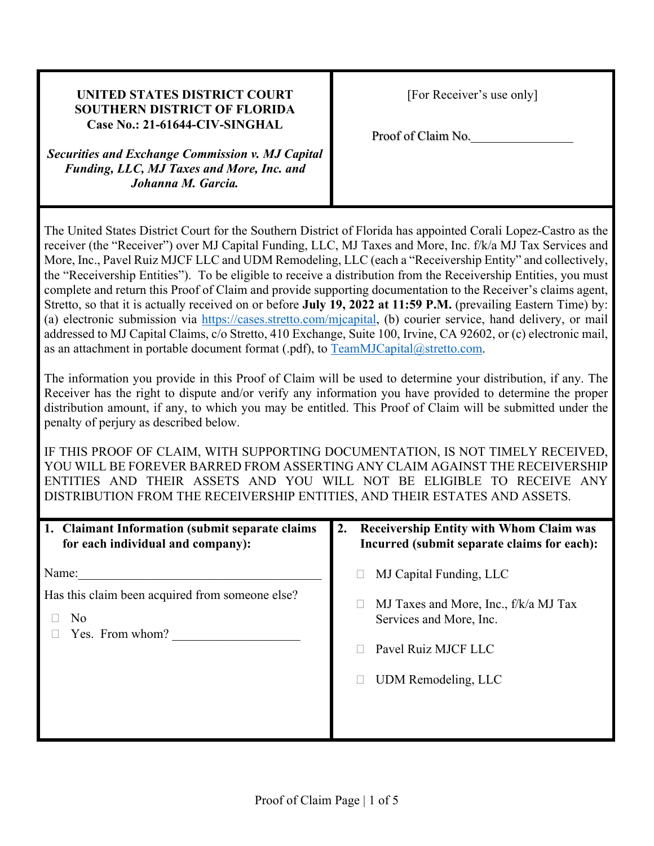| <b>UNITED STATES DISTRICT COURT</b><br><b>SOUTHERN DISTRICT OF FLORIDA</b> |
|----------------------------------------------------------------------------|
| Case No.: 21-61644-CIV-SINGHAL                                             |
| <b>Securities and Exchange Commission v. MJ Capital</b>                    |

*Funding, LLC, MJ Taxes and More, Inc. and Johanna M. Garcia.*

Proof of Claim No.

The United States District Court for the Southern District of Florida has appointed Corali Lopez-Castro as the receiver (the "Receiver") over MJ Capital Funding, LLC, MJ Taxes and More, Inc. f/k/a MJ Tax Services and More, Inc., Pavel Ruiz MJCF LLC and UDM Remodeling, LLC (each a "Receivership Entity" and collectively, the "Receivership Entities"). To be eligible to receive a distribution from the Receivership Entities, you must complete and return this Proof of Claim and provide supporting documentation to the Receiver's claims agent, Stretto, so that it is actually received on or before **July 19, 2022 at 11:59 P.M.** (prevailing Eastern Time) by: (a) electronic submission via https://cases.stretto.com/mjcapital, (b) courier service, hand delivery, or mail addressed to MJ Capital Claims, c/o Stretto, 410 Exchange, Suite 100, Irvine, CA 92602, or (c) electronic mail, as an attachment in portable document format (.pdf), to TeamMJCapital@stretto.com.

The information you provide in this Proof of Claim will be used to determine your distribution, if any. The Receiver has the right to dispute and/or verify any information you have provided to determine the proper distribution amount, if any, to which you may be entitled. This Proof of Claim will be submitted under the penalty of perjury as described below.

IF THIS PROOF OF CLAIM, WITH SUPPORTING DOCUMENTATION, IS NOT TIMELY RECEIVED, YOU WILL BE FOREVER BARRED FROM ASSERTING ANY CLAIM AGAINST THE RECEIVERSHIP ENTITIES AND THEIR ASSETS AND YOU WILL NOT BE ELIGIBLE TO RECEIVE ANY DISTRIBUTION FROM THE RECEIVERSHIP ENTITIES, AND THEIR ESTATES AND ASSETS.

| 1. Claimant Information (submit separate claims)<br>for each individual and company): | <b>Receivership Entity with Whom Claim was</b><br>2.<br>Incurred (submit separate claims for each):                                       |
|---------------------------------------------------------------------------------------|-------------------------------------------------------------------------------------------------------------------------------------------|
| Name:<br>Has this claim been acquired from someone else?<br>No<br>Yes. From whom?     | MJ Capital Funding, LLC<br>MJ Taxes and More, Inc., f/k/a MJ Tax<br>Services and More, Inc.<br>Pavel Ruiz MJCF LLC<br>UDM Remodeling, LLC |
|                                                                                       |                                                                                                                                           |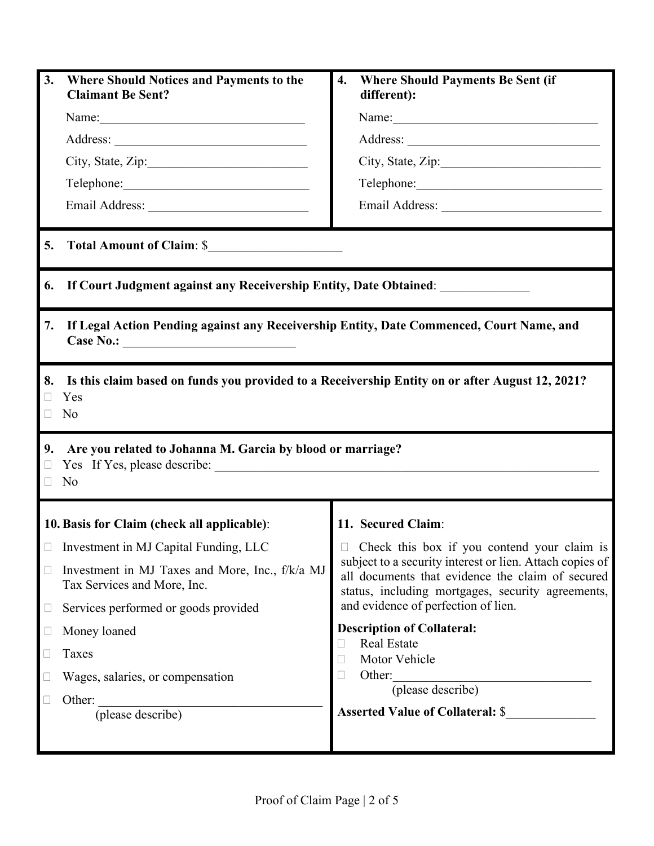| 3.       | <b>Where Should Notices and Payments to the</b><br><b>Claimant Be Sent?</b>                                  | 4.                                                                                                                                                                | <b>Where Should Payments Be Sent (if</b><br>different): |  |  |  |  |
|----------|--------------------------------------------------------------------------------------------------------------|-------------------------------------------------------------------------------------------------------------------------------------------------------------------|---------------------------------------------------------|--|--|--|--|
|          |                                                                                                              |                                                                                                                                                                   |                                                         |  |  |  |  |
|          |                                                                                                              |                                                                                                                                                                   |                                                         |  |  |  |  |
|          | City, State, Zip:                                                                                            |                                                                                                                                                                   |                                                         |  |  |  |  |
|          |                                                                                                              |                                                                                                                                                                   |                                                         |  |  |  |  |
|          |                                                                                                              |                                                                                                                                                                   |                                                         |  |  |  |  |
| 5.       | Total Amount of Claim: \$                                                                                    |                                                                                                                                                                   |                                                         |  |  |  |  |
| 6.       | If Court Judgment against any Receivership Entity, Date Obtained:                                            |                                                                                                                                                                   |                                                         |  |  |  |  |
| 7.       | If Legal Action Pending against any Receivership Entity, Date Commenced, Court Name, and<br>Case No.:        |                                                                                                                                                                   |                                                         |  |  |  |  |
| 8.<br>П  | Is this claim based on funds you provided to a Receivership Entity on or after August 12, 2021?<br>Yes<br>No |                                                                                                                                                                   |                                                         |  |  |  |  |
| 9.<br>П  | Are you related to Johanna M. Garcia by blood or marriage?<br>No                                             |                                                                                                                                                                   |                                                         |  |  |  |  |
|          | 10. Basis for Claim (check all applicable):                                                                  |                                                                                                                                                                   | 11. Secured Claim:                                      |  |  |  |  |
|          | $\Box$ Investment in MJ Capital Funding, LLC                                                                 |                                                                                                                                                                   | □ Check this box if you contend your claim is           |  |  |  |  |
| $\Box$   | Investment in MJ Taxes and More, Inc., f/k/a MJ<br>Tax Services and More, Inc.                               | subject to a security interest or lien. Attach copies of<br>all documents that evidence the claim of secured<br>status, including mortgages, security agreements, |                                                         |  |  |  |  |
| ⊔        | Services performed or goods provided                                                                         |                                                                                                                                                                   | and evidence of perfection of lien.                     |  |  |  |  |
| $\sqcup$ | Money loaned                                                                                                 |                                                                                                                                                                   | <b>Description of Collateral:</b>                       |  |  |  |  |
| $\Box$   | Taxes                                                                                                        | <b>Real Estate</b><br>Motor Vehicle<br>Other:                                                                                                                     |                                                         |  |  |  |  |
| u        | Wages, salaries, or compensation                                                                             |                                                                                                                                                                   |                                                         |  |  |  |  |
| Н        | Other:<br>(please describe)                                                                                  | (please describe)<br><b>Asserted Value of Collateral: \$</b>                                                                                                      |                                                         |  |  |  |  |
|          |                                                                                                              |                                                                                                                                                                   |                                                         |  |  |  |  |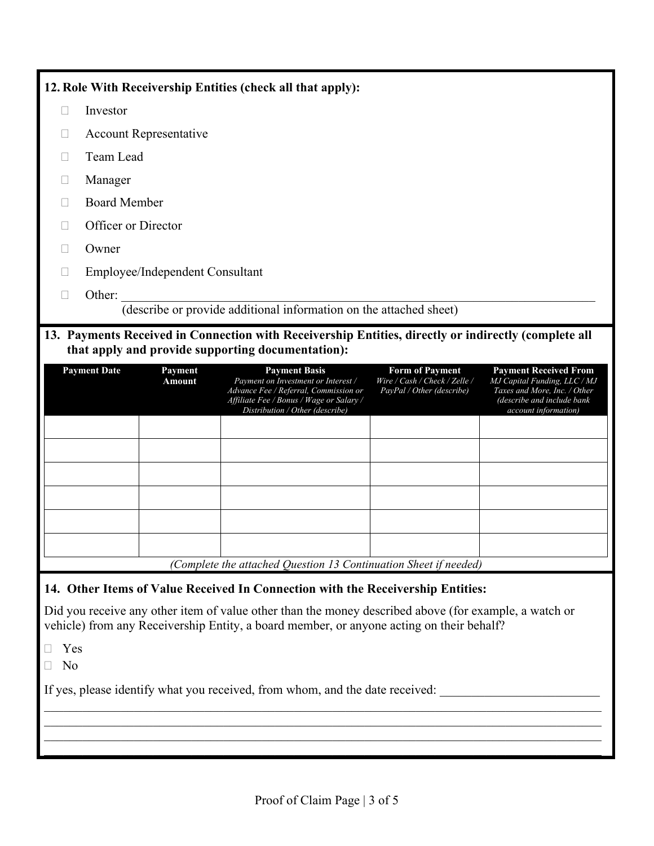# **12. Role With Receivership Entities (check all that apply):**

- $\Box$  Investor
- Account Representative
- Team Lead
- Manager
- Board Member
- □ Officer or Director
- □ Owner
- Employee/Independent Consultant
- $\Box$  Other:

(describe or provide additional information on the attached sheet)

# **13. Payments Received in Connection with Receivership Entities, directly or indirectly (complete all that apply and provide supporting documentation):**

| <b>Payment Date</b> | <b>Payment</b><br>Amount | <b>Payment Basis</b><br>Payment on Investment or Interest /<br>Advance Fee / Referral, Commission or<br>Affiliate Fee / Bonus / Wage or Salary /<br>Distribution / Other (describe) | <b>Form of Payment</b><br>Wire / Cash / Check / Zelle /<br>PayPal / Other (describe) | <b>Payment Received From</b><br>MJ Capital Funding, LLC / MJ<br>Taxes and More, Inc. / Other<br>(describe and include bank<br>account information) |
|---------------------|--------------------------|-------------------------------------------------------------------------------------------------------------------------------------------------------------------------------------|--------------------------------------------------------------------------------------|----------------------------------------------------------------------------------------------------------------------------------------------------|
|                     |                          |                                                                                                                                                                                     |                                                                                      |                                                                                                                                                    |
|                     |                          |                                                                                                                                                                                     |                                                                                      |                                                                                                                                                    |
|                     |                          |                                                                                                                                                                                     |                                                                                      |                                                                                                                                                    |
|                     |                          |                                                                                                                                                                                     |                                                                                      |                                                                                                                                                    |
|                     |                          |                                                                                                                                                                                     |                                                                                      |                                                                                                                                                    |
|                     |                          |                                                                                                                                                                                     |                                                                                      |                                                                                                                                                    |
|                     |                          | (Complete the attached Question 13 Continuation Sheet if needed)                                                                                                                    |                                                                                      |                                                                                                                                                    |

## **14. Other Items of Value Received In Connection with the Receivership Entities:**

Did you receive any other item of value other than the money described above (for example, a watch or vehicle) from any Receivership Entity, a board member, or anyone acting on their behalf?

- Yes
- No

If yes, please identify what you received, from whom, and the date received: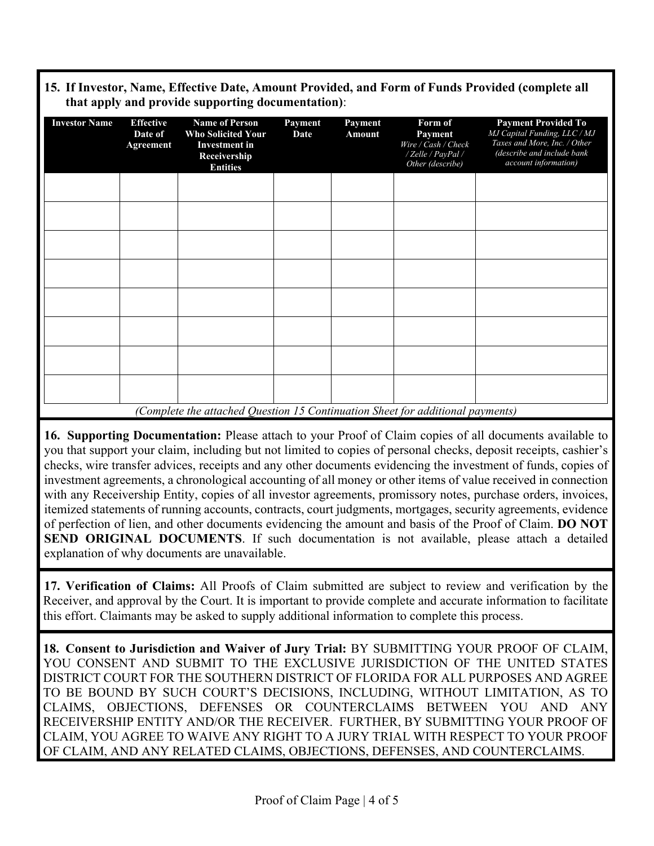#### **15. If Investor, Name, Effective Date, Amount Provided, and Form of Funds Provided (complete all that apply and provide supporting documentation)**:

| <b>Investor Name</b> | <b>Effective</b><br>Date of<br>Agreement | <b>Name of Person</b><br><b>Who Solicited Your</b><br><b>Investment</b> in<br>Receivership<br><b>Entities</b> | Payment<br>Date | Payment<br>Amount | Form of<br>Payment<br>Wire / Cash / Check<br>/ Zelle / PayPal /<br>Other (describe) | <b>Payment Provided To</b><br>MJ Capital Funding, LLC / MJ<br>Taxes and More, Inc. / Other<br>(describe and include bank<br>account information) |
|----------------------|------------------------------------------|---------------------------------------------------------------------------------------------------------------|-----------------|-------------------|-------------------------------------------------------------------------------------|--------------------------------------------------------------------------------------------------------------------------------------------------|
|                      |                                          |                                                                                                               |                 |                   |                                                                                     |                                                                                                                                                  |
|                      |                                          |                                                                                                               |                 |                   |                                                                                     |                                                                                                                                                  |
|                      |                                          |                                                                                                               |                 |                   |                                                                                     |                                                                                                                                                  |
|                      |                                          |                                                                                                               |                 |                   |                                                                                     |                                                                                                                                                  |
|                      |                                          |                                                                                                               |                 |                   |                                                                                     |                                                                                                                                                  |
|                      |                                          |                                                                                                               |                 |                   |                                                                                     |                                                                                                                                                  |
|                      |                                          |                                                                                                               |                 |                   |                                                                                     |                                                                                                                                                  |
|                      |                                          |                                                                                                               |                 |                   |                                                                                     |                                                                                                                                                  |
|                      |                                          | (Complete the attached Question 15 Continuation Sheet for additional payments)                                |                 |                   |                                                                                     |                                                                                                                                                  |

**16. Supporting Documentation:** Please attach to your Proof of Claim copies of all documents available to you that support your claim, including but not limited to copies of personal checks, deposit receipts, cashier's checks, wire transfer advices, receipts and any other documents evidencing the investment of funds, copies of investment agreements, a chronological accounting of all money or other items of value received in connection with any Receivership Entity, copies of all investor agreements, promissory notes, purchase orders, invoices, itemized statements of running accounts, contracts, court judgments, mortgages, security agreements, evidence of perfection of lien, and other documents evidencing the amount and basis of the Proof of Claim. **DO NOT SEND ORIGINAL DOCUMENTS**. If such documentation is not available, please attach a detailed explanation of why documents are unavailable.

**17. Verification of Claims:** All Proofs of Claim submitted are subject to review and verification by the Receiver, and approval by the Court. It is important to provide complete and accurate information to facilitate this effort. Claimants may be asked to supply additional information to complete this process.

**18. Consent to Jurisdiction and Waiver of Jury Trial:** BY SUBMITTING YOUR PROOF OF CLAIM, YOU CONSENT AND SUBMIT TO THE EXCLUSIVE JURISDICTION OF THE UNITED STATES DISTRICT COURT FOR THE SOUTHERN DISTRICT OF FLORIDA FOR ALL PURPOSES AND AGREE TO BE BOUND BY SUCH COURT'S DECISIONS, INCLUDING, WITHOUT LIMITATION, AS TO CLAIMS, OBJECTIONS, DEFENSES OR COUNTERCLAIMS BETWEEN YOU AND ANY RECEIVERSHIP ENTITY AND/OR THE RECEIVER. FURTHER, BY SUBMITTING YOUR PROOF OF CLAIM, YOU AGREE TO WAIVE ANY RIGHT TO A JURY TRIAL WITH RESPECT TO YOUR PROOF OF CLAIM, AND ANY RELATED CLAIMS, OBJECTIONS, DEFENSES, AND COUNTERCLAIMS.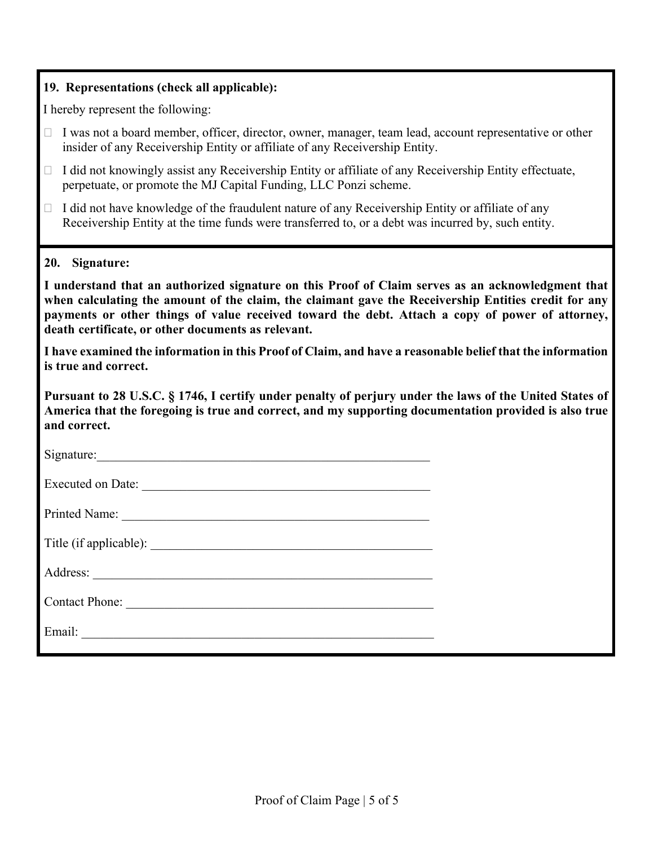## **19. Representations (check all applicable):**

I hereby represent the following:

| $\Box$ I was not a board member, officer, director, owner, manager, team lead, account representative or other |
|----------------------------------------------------------------------------------------------------------------|
| insider of any Receivership Entity or affiliate of any Receivership Entity.                                    |

- $\Box$  I did not knowingly assist any Receivership Entity or affiliate of any Receivership Entity effectuate, perpetuate, or promote the MJ Capital Funding, LLC Ponzi scheme.
- $\Box$  I did not have knowledge of the fraudulent nature of any Receivership Entity or affiliate of any Receivership Entity at the time funds were transferred to, or a debt was incurred by, such entity.
- **20. Signature:**

**I understand that an authorized signature on this Proof of Claim serves as an acknowledgment that when calculating the amount of the claim, the claimant gave the Receivership Entities credit for any payments or other things of value received toward the debt. Attach a copy of power of attorney, death certificate, or other documents as relevant.** 

**I have examined the information in this Proof of Claim, and have a reasonable belief that the information is true and correct.**

**Pursuant to 28 U.S.C. § 1746, I certify under penalty of perjury under the laws of the United States of America that the foregoing is true and correct, and my supporting documentation provided is also true and correct.** 

| Executed on Date: |  |
|-------------------|--|
|                   |  |
|                   |  |
|                   |  |
| Contact Phone:    |  |
|                   |  |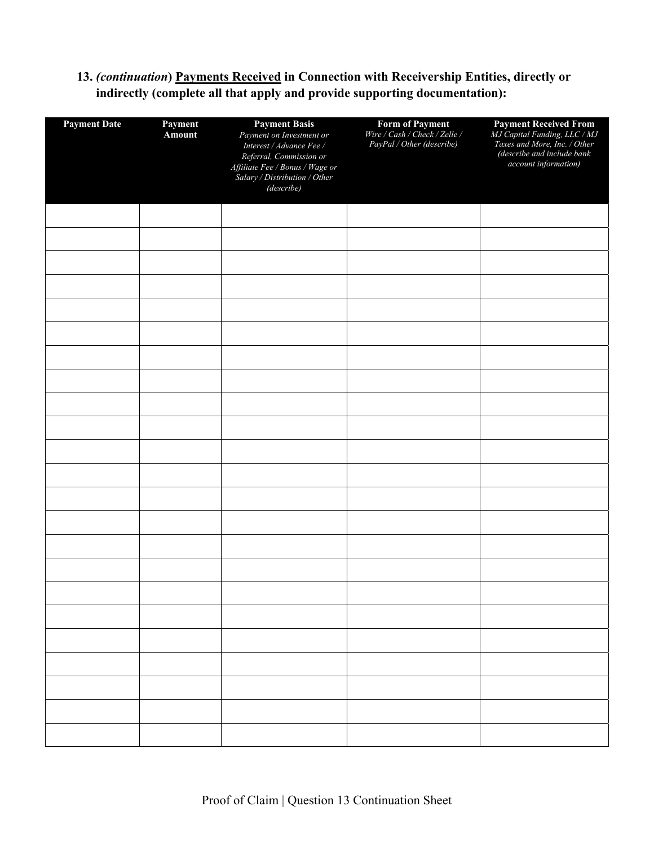## **13.** *(continuation***) Payments Received in Connection with Receivership Entities, directly or indirectly (complete all that apply and provide supporting documentation):**

| <b>Payment Date</b><br>Payment<br><b>Amount</b> |  | <b>Payment Basis</b><br>Payment on Investment or<br>Interest / Advance Fee /<br>Referral, Commission or<br>Affiliate Fee / Bonus / Wage or<br>Salary / Distribution / Other<br>(describe) | <b>Form of Payment</b><br>Wire / Cash / Check / Zelle /<br>PayPal / Other (describe) | <b>Payment Received From</b><br><i>MJ Capital Funding, LLC / MJ</i><br><i>Taxes and More, Inc. / Other</i><br>(describe and include bank<br>account information) |
|-------------------------------------------------|--|-------------------------------------------------------------------------------------------------------------------------------------------------------------------------------------------|--------------------------------------------------------------------------------------|------------------------------------------------------------------------------------------------------------------------------------------------------------------|
|                                                 |  |                                                                                                                                                                                           |                                                                                      |                                                                                                                                                                  |
|                                                 |  |                                                                                                                                                                                           |                                                                                      |                                                                                                                                                                  |
|                                                 |  |                                                                                                                                                                                           |                                                                                      |                                                                                                                                                                  |
|                                                 |  |                                                                                                                                                                                           |                                                                                      |                                                                                                                                                                  |
|                                                 |  |                                                                                                                                                                                           |                                                                                      |                                                                                                                                                                  |
|                                                 |  |                                                                                                                                                                                           |                                                                                      |                                                                                                                                                                  |
|                                                 |  |                                                                                                                                                                                           |                                                                                      |                                                                                                                                                                  |
|                                                 |  |                                                                                                                                                                                           |                                                                                      |                                                                                                                                                                  |
|                                                 |  |                                                                                                                                                                                           |                                                                                      |                                                                                                                                                                  |
|                                                 |  |                                                                                                                                                                                           |                                                                                      |                                                                                                                                                                  |
|                                                 |  |                                                                                                                                                                                           |                                                                                      |                                                                                                                                                                  |
|                                                 |  |                                                                                                                                                                                           |                                                                                      |                                                                                                                                                                  |
|                                                 |  |                                                                                                                                                                                           |                                                                                      |                                                                                                                                                                  |
|                                                 |  |                                                                                                                                                                                           |                                                                                      |                                                                                                                                                                  |
|                                                 |  |                                                                                                                                                                                           |                                                                                      |                                                                                                                                                                  |
|                                                 |  |                                                                                                                                                                                           |                                                                                      |                                                                                                                                                                  |
|                                                 |  |                                                                                                                                                                                           |                                                                                      |                                                                                                                                                                  |
|                                                 |  |                                                                                                                                                                                           |                                                                                      |                                                                                                                                                                  |
|                                                 |  |                                                                                                                                                                                           |                                                                                      |                                                                                                                                                                  |
|                                                 |  |                                                                                                                                                                                           |                                                                                      |                                                                                                                                                                  |
|                                                 |  |                                                                                                                                                                                           |                                                                                      |                                                                                                                                                                  |